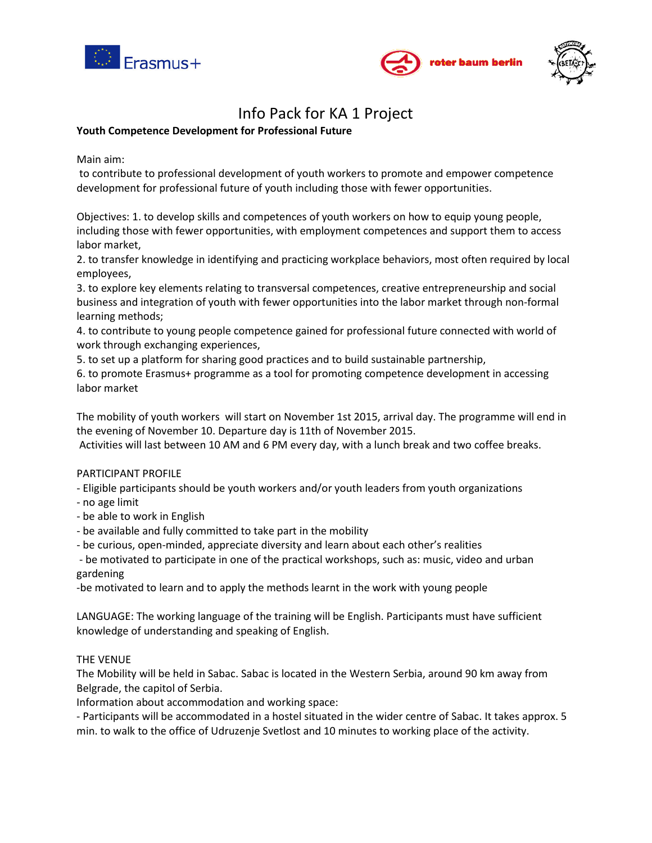





# Info Pack for KA 1 Project

# **Youth Competence Development for Professional Future**

Main aim:

to contribute to professional development of youth workers to promote and empower competence development for professional future of youth including those with fewer opportunities.

Objectives: 1. to develop skills and competences of youth workers on how to equip young people, including those with fewer opportunities, with employment competences and support them to access labor market,

2. to transfer knowledge in identifying and practicing workplace behaviors, most often required by local employees,

3. to explore key elements relating to transversal competences, creative entrepreneurship and social business and integration of youth with fewer opportunities into the labor market through non-formal learning methods;

4. to contribute to young people competence gained for professional future connected with world of work through exchanging experiences,

5. to set up a platform for sharing good practices and to build sustainable partnership,

6. to promote Erasmus+ programme as a tool for promoting competence development in accessing labor market

The mobility of youth workers will start on November 1st 2015, arrival day. The programme will end in the evening of November 10. Departure day is 11th of November 2015.

Activities will last between 10 AM and 6 PM every day, with a lunch break and two coffee breaks.

## PARTICIPANT PROFILE

- Eligible participants should be youth workers and/or youth leaders from youth organizations

- no age limit
- be able to work in English
- be available and fully committed to take part in the mobility
- be curious, open-minded, appreciate diversity and learn about each other's realities

- be motivated to participate in one of the practical workshops, such as: music, video and urban gardening

-be motivated to learn and to apply the methods learnt in the work with young people

LANGUAGE: The working language of the training will be English. Participants must have sufficient knowledge of understanding and speaking of English.

## THE VENUE

The Mobility will be held in Sabac. Sabac is located in the Western Serbia, around 90 km away from Belgrade, the capitol of Serbia.

Information about accommodation and working space:

- Participants will be accommodated in a hostel situated in the wider centre of Sabac. It takes approx. 5 min. to walk to the office of Udruzenje Svetlost and 10 minutes to working place of the activity.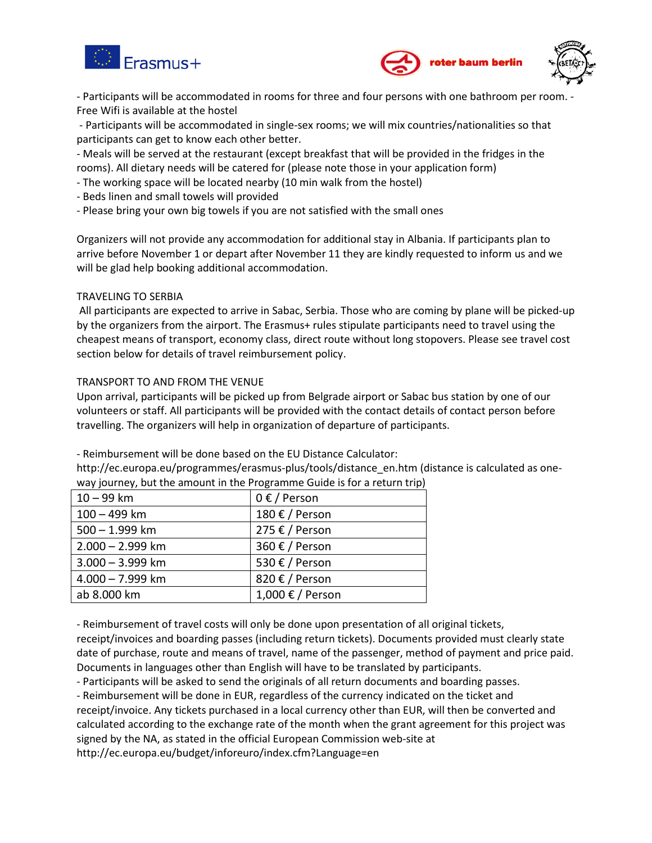





- Participants will be accommodated in rooms for three and four persons with one bathroom per room. - Free Wifi is available at the hostel

- Participants will be accommodated in single-sex rooms; we will mix countries/nationalities so that participants can get to know each other better.

- Meals will be served at the restaurant (except breakfast that will be provided in the fridges in the rooms). All dietary needs will be catered for (please note those in your application form)

- The working space will be located nearby (10 min walk from the hostel)
- Beds linen and small towels will provided
- Please bring your own big towels if you are not satisfied with the small ones

Organizers will not provide any accommodation for additional stay in Albania. If participants plan to arrive before November 1 or depart after November 11 they are kindly requested to inform us and we will be glad help booking additional accommodation.

# TRAVELING TO SERBIA

All participants are expected to arrive in Sabac, Serbia. Those who are coming by plane will be picked-up by the organizers from the airport. The Erasmus+ rules stipulate participants need to travel using the cheapest means of transport, economy class, direct route without long stopovers. Please see travel cost section below for details of travel reimbursement policy.

# TRANSPORT TO AND FROM THE VENUE

Upon arrival, participants will be picked up from Belgrade airport or Sabac bus station by one of our volunteers or staff. All participants will be provided with the contact details of contact person before travelling. The organizers will help in organization of departure of participants.

- Reimbursement will be done based on the EU Distance Calculator:

http://ec.europa.eu/programmes/erasmus-plus/tools/distance\_en.htm (distance is calculated as oneway journey, but the amount in the Programme Guide is for a return trip)

| $10 - 99$ km       | $0 \in /$ Person |
|--------------------|------------------|
| 100 - 499 km       | 180 € / Person   |
| 500 - 1.999 km     | 275 € / Person   |
| $2.000 - 2.999$ km | 360 € / Person   |
| $3.000 - 3.999$ km | 530 € / Person   |
| 4.000 - 7.999 km   | 820 € / Person   |
| ab 8.000 km        | 1,000 € / Person |
|                    |                  |

- Reimbursement of travel costs will only be done upon presentation of all original tickets,

receipt/invoices and boarding passes (including return tickets). Documents provided must clearly state date of purchase, route and means of travel, name of the passenger, method of payment and price paid. Documents in languages other than English will have to be translated by participants.

- Participants will be asked to send the originals of all return documents and boarding passes.

- Reimbursement will be done in EUR, regardless of the currency indicated on the ticket and receipt/invoice. Any tickets purchased in a local currency other than EUR, will then be converted and calculated according to the exchange rate of the month when the grant agreement for this project was signed by the NA, as stated in the official European Commission web-site at http://ec.europa.eu/budget/inforeuro/index.cfm?Language=en